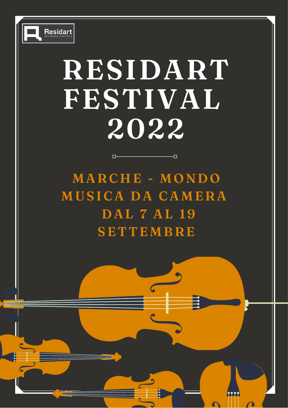

# **RESIDART FESTIVAL 2022**

Đ

**MARC H E - MON D O MUSI C A D A C AMERA D A L 7 A L 19 SE T T EMBRE**